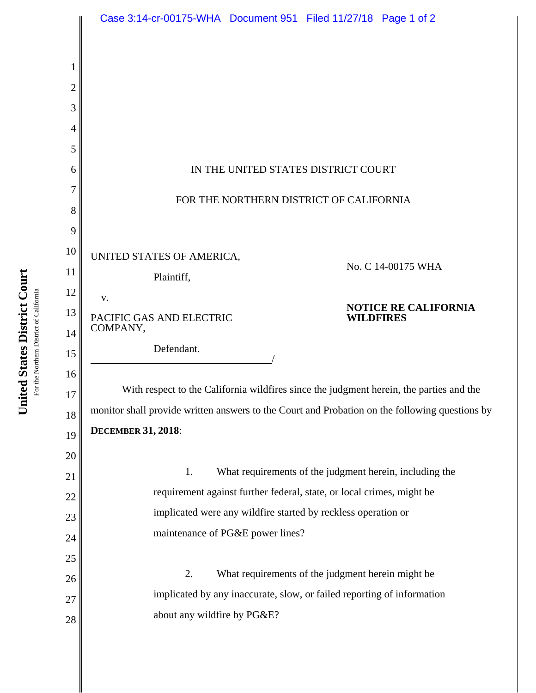|                | Case 3:14-cr-00175-WHA Document 951 Filed 11/27/18 Page 1 of 2                                 |
|----------------|------------------------------------------------------------------------------------------------|
|                |                                                                                                |
| 1              |                                                                                                |
| $\overline{2}$ |                                                                                                |
| 3              |                                                                                                |
| 4              |                                                                                                |
| 5              |                                                                                                |
| 6              | IN THE UNITED STATES DISTRICT COURT                                                            |
| 7              | FOR THE NORTHERN DISTRICT OF CALIFORNIA                                                        |
| 8              |                                                                                                |
| 9<br>10        |                                                                                                |
| 11             | UNITED STATES OF AMERICA,<br>No. C 14-00175 WHA                                                |
| 12             | Plaintiff,                                                                                     |
| 13             | V.<br><b>NOTICE RE CALIFORNIA</b><br>PACIFIC GAS AND ELECTRIC<br><b>WILDFIRES</b>              |
| 14             | COMPANY,                                                                                       |
| 15             | Defendant.                                                                                     |
| 16             |                                                                                                |
| 17             | With respect to the California wildfires since the judgment herein, the parties and the        |
| 18             | monitor shall provide written answers to the Court and Probation on the following questions by |
| 19             | <b>DECEMBER 31, 2018:</b>                                                                      |
| 20             |                                                                                                |
| 21             | What requirements of the judgment herein, including the<br>1.                                  |
| 22             | requirement against further federal, state, or local crimes, might be                          |
| 23             | implicated were any wildfire started by reckless operation or                                  |
| 24             | maintenance of PG&E power lines?                                                               |
| 25             | 2.<br>What requirements of the judgment herein might be                                        |
| 26             | implicated by any inaccurate, slow, or failed reporting of information                         |
| 27             | about any wildfire by PG&E?                                                                    |
| 28             |                                                                                                |
|                |                                                                                                |

United States District Court **United States District Court** For the Northern District of California For the Northern District of California